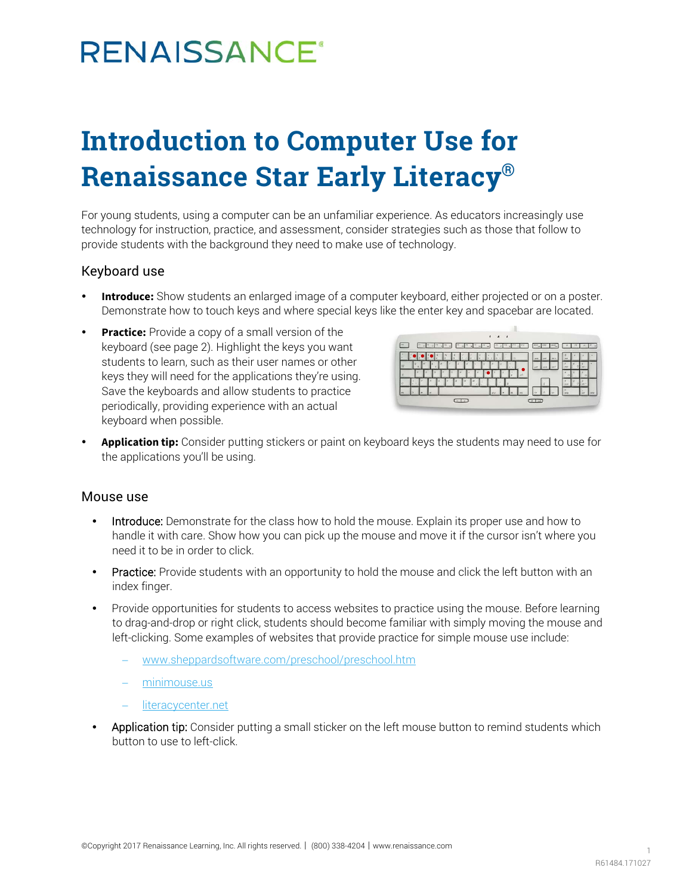# **RENAISSANCE®**

## **Introduction to Computer Use for Renaissance Star Early Literacy®**

For young students, using a computer can be an unfamiliar experience. As educators increasingly use technology for instruction, practice, and assessment, consider strategies such as those that follow to provide students with the background they need to make use of technology.

#### Keyboard use

- **Introduce:** Show students an enlarged image of a computer keyboard, either projected or on a poster. Demonstrate how to touch keys and where special keys like the enter key and spacebar are located.
- **Practice:** Provide a copy of a small version of the keyboard (see page 2). Highlight the keys you want students to learn, such as their user names or other keys they will need for the applications they're using. Save the keyboards and allow students to practice periodically, providing experience with an actual keyboard when possible.



 **Application tip:** Consider putting stickers or paint on keyboard keys the students may need to use for the applications you'll be using.

#### Mouse use

- Introduce: Demonstrate for the class how to hold the mouse. Explain its proper use and how to handle it with care. Show how you can pick up the mouse and move it if the cursor isn't where you need it to be in order to click.
- Practice: Provide students with an opportunity to hold the mouse and click the left button with an index finger.
- Provide opportunities for students to access websites to practice using the mouse. Before learning to drag-and-drop or right click, students should become familiar with simply moving the mouse and left-clicking. Some examples of websites that provide practice for simple mouse use include:
	- − [www.sheppardsoftware.com/preschool/preschool.htm](http://www.sheppardsoftware.com/preschool/preschool.htm)
	- − [minimouse.us](http://minimouse.us/)
	- − [literacycenter.net](http://literacycenter.net/)
- Application tip: Consider putting a small sticker on the left mouse button to remind students which button to use to left-click.